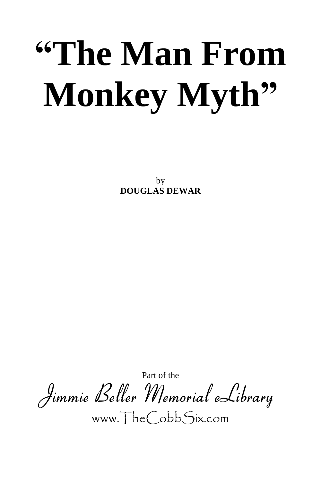## **"The Man From Monkey Myth"**

by **DOUGLAS DEWAR**

Part of the **Jimmie Beller Memorial eLibrary** www.TheCobbSix.com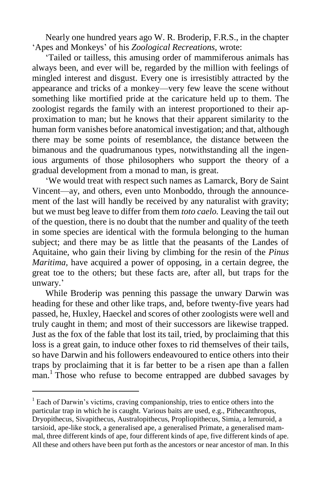Nearly one hundred years ago W. R. Broderip, F.R.S., in the chapter 'Apes and Monkeys' of his *Zoological Recreations,* wrote:

'Tailed or tailless, this amusing order of mammiferous animals has always been, and ever will be, regarded by the million with feelings of mingled interest and disgust. Every one is irresistibly attracted by the appearance and tricks of a monkey—very few leave the scene without something like mortified pride at the caricature held up to them. The zoologist regards the family with an interest proportioned to their approximation to man; but he knows that their apparent similarity to the human form vanishes before anatomical investigation; and that, although there may be some points of resemblance, the distance between the bimanous and the quadrumanous types, notwithstanding all the ingenious arguments of those philosophers who support the theory of a gradual development from a monad to man, is great.

'We would treat with respect such names as Lamarck, Bory de Saint Vincent—ay, and others, even unto Monboddo, through the announcement of the last will handly be received by any naturalist with gravity; but we must beg leave to differ from them *toto caelo.* Leaving the tail out of the question, there is no doubt that the number and quality of the teeth in some species are identical with the formula belonging to the human subject; and there may be as little that the peasants of the Landes of Aquitaine, who gain their living by climbing for the resin of the *Pinus Maritima,* have acquired a power of opposing, in a certain degree, the great toe to the others; but these facts are, after all, but traps for the unwary.'

While Broderip was penning this passage the unwary Darwin was heading for these and other like traps, and, before twenty-five years had passed, he, Huxley, Haeckel and scores of other zoologists were well and truly caught in them; and most of their successors are likewise trapped. Just as the fox of the fable that lost its tail, tried, by proclaiming that this loss is a great gain, to induce other foxes to rid themselves of their tails, so have Darwin and his followers endeavoured to entice others into their traps by proclaiming that it is far better to be a risen ape than a fallen man.<sup>1</sup> Those who refuse to become entrapped are dubbed savages by

 $<sup>1</sup>$  Each of Darwin's victims, craving companionship, tries to entice others into the</sup> particular trap in which he is caught. Various baits are used, e.g., Pithecanthropus, Dryopithecus, Sivapithecus, Australopithecus, Propliopithecus, Simia, a lemuroid, a tarsioid, ape-like stock, a generalised ape, a generalised Primate, a generalised mammal, three different kinds of ape, four different kinds of ape, five different kinds of ape. All these and others have been put forth as the ancestors or near ancestor of man. In this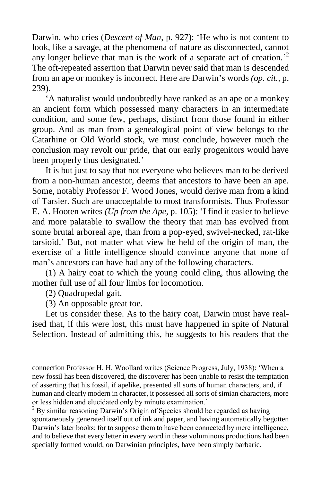Darwin, who cries (*Descent of Man*, p. 927): 'He who is not content to look, like a savage, at the phenomena of nature as disconnected, cannot any longer believe that man is the work of a separate act of creation.<sup>2</sup> The oft-repeated assertion that Darwin never said that man is descended from an ape or monkey is incorrect. Here are Darwin's words *(op. cit.,* p. 239).

'A naturalist would undoubtedly have ranked as an ape or a monkey an ancient form which possessed many characters in an intermediate condition, and some few, perhaps, distinct from those found in either group. And as man from a genealogical point of view belongs to the Catarhine or Old World stock, we must conclude, however much the conclusion may revolt our pride, that our early progenitors would have been properly thus designated.'

It is but just to say that not everyone who believes man to be derived from a non-human ancestor, deems that ancestors to have been an ape. Some, notably Professor F. Wood Jones, would derive man from a kind of Tarsier. Such are unacceptable to most transformists. Thus Professor E. A. Hooten writes *(Up from the Ape,* p. 105): 'I find it easier to believe and more palatable to swallow the theory that man has evolved from some brutal arboreal ape, than from a pop-eyed, swivel-necked, rat-like tarsioid.' But, not matter what view be held of the origin of man, the exercise of a little intelligence should convince anyone that none of man's ancestors can have had any of the following characters.

(1) A hairy coat to which the young could cling, thus allowing the mother full use of all four limbs for locomotion.

(2) Quadrupedal gait.

 $\overline{a}$ 

(3) An opposable great toe.

Let us consider these. As to the hairy coat, Darwin must have realised that, if this were lost, this must have happened in spite of Natural Selection. Instead of admitting this, he suggests to his readers that the

connection Professor H. H. Woollard writes (Science Progress, July, 1938): 'When a new fossil has been discovered, the discoverer has been unable to resist the temptation of asserting that his fossil, if apelike, presented all sorts of human characters, and, if human and clearly modern in character, it possessed all sorts of simian characters, more or less hidden and elucidated only by minute examination.'

 $2^2$  By similar reasoning Darwin's Origin of Species should be regarded as having spontaneously generated itself out of ink and paper, and having automatically begotten Darwin's later books; for to suppose them to have been connected by mere intelligence, and to believe that every letter in every word in these voluminous productions had been specially formed would, on Darwinian principles, have been simply barbaric.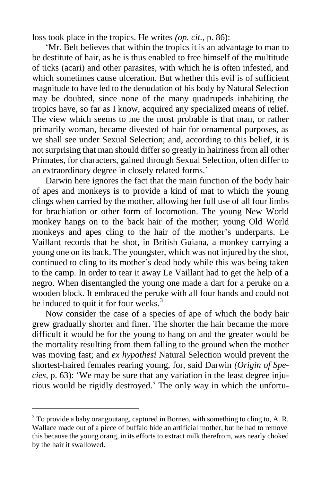loss took place in the tropics. He writes *(op. cit.,* p. 86):

'Mr. Belt believes that within the tropics it is an advantage to man to be destitute of hair, as he is thus enabled to free himself of the multitude of ticks (acari) and other parasites, with which he is often infested, and which sometimes cause ulceration. But whether this evil is of sufficient magnitude to have led to the denudation of his body by Natural Selection may be doubted, since none of the many quadrupeds inhabiting the tropics have, so far as I know, acquired any specialized means of relief. The view which seems to me the most probable is that man, or rather primarily woman, became divested of hair for ornamental purposes, as we shall see under Sexual Selection; and, according to this belief, it is not surprising that man should differ so greatly in hairiness from all other Primates, for characters, gained through Sexual Selection, often differ to an extraordinary degree in closely related forms.'

Darwin here ignores the fact that the main function of the body hair of apes and monkeys is to provide a kind of mat to which the young clings when carried by the mother, allowing her full use of all four limbs for brachiation or other form of locomotion. The young New World monkey hangs on to the back hair of the mother; young Old World monkeys and apes cling to the hair of the mother's underparts. Le Vaillant records that he shot, in British Guiana, a monkey carrying a young one on its back. The youngster, which was not injured by the shot, continued to cling to its mother's dead body while this was being taken to the camp. In order to tear it away Le Vaillant had to get the help of a negro. When disentangled the young one made a dart for a peruke on a wooden block. It embraced the peruke with all four hands and could not be induced to quit it for four weeks. $3$ 

Now consider the case of a species of ape of which the body hair grew gradually shorter and finer. The shorter the hair became the more difficult it would be for the young to hang on and the greater would be the mortality resulting from them falling to the ground when the mother was moving fast; and *ex hypothesi* Natural Selection would prevent the shortest-haired females rearing young, for, said Darwin *(Origin of Species,* p. 63): 'We may be sure that any variation in the least degree injurious would be rigidly destroyed.' The only way in which the unfortu-

 $3$  To provide a baby orangoutang, captured in Borneo, with something to cling to, A. R. Wallace made out of a piece of buffalo hide an artificial mother, but he had to remove this because the young orang, in its efforts to extract milk therefrom, was nearly choked by the hair it swallowed.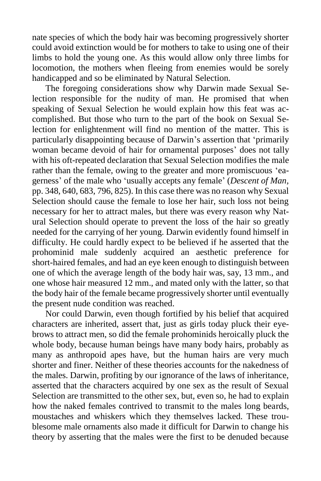nate species of which the body hair was becoming progressively shorter could avoid extinction would be for mothers to take to using one of their limbs to hold the young one. As this would allow only three limbs for locomotion, the mothers when fleeing from enemies would be sorely handicapped and so be eliminated by Natural Selection.

The foregoing considerations show why Darwin made Sexual Selection responsible for the nudity of man. He promised that when speaking of Sexual Selection he would explain how this feat was accomplished. But those who turn to the part of the book on Sexual Selection for enlightenment will find no mention of the matter. This is particularly disappointing because of Darwin's assertion that 'primarily woman became devoid of hair for ornamental purposes' does not tally with his oft-repeated declaration that Sexual Selection modifies the male rather than the female, owing to the greater and more promiscuous 'eagerness' of the male who 'usually accepts any female' (*Descent of Man,* pp. 348, 640, 683, 796, 825). In this case there was no reason why Sexual Selection should cause the female to lose her hair, such loss not being necessary for her to attract males, but there was every reason why Natural Selection should operate to prevent the loss of the hair so greatly needed for the carrying of her young. Darwin evidently found himself in difficulty. He could hardly expect to be believed if he asserted that the prohominid male suddenly acquired an aesthetic preference for short-haired females, and had an eye keen enough to distinguish between one of which the average length of the body hair was, say, 13 mm., and one whose hair measured 12 mm., and mated only with the latter, so that the body hair of the female became progressively shorter until eventually the present nude condition was reached.

Nor could Darwin, even though fortified by his belief that acquired characters are inherited, assert that, just as girls today pluck their eyebrows to attract men, so did the female prohominids heroically pluck the whole body, because human beings have many body hairs, probably as many as anthropoid apes have, but the human hairs are very much shorter and finer. Neither of these theories accounts for the nakedness of the males. Darwin, profiting by our ignorance of the laws of inheritance, asserted that the characters acquired by one sex as the result of Sexual Selection are transmitted to the other sex, but, even so, he had to explain how the naked females contrived to transmit to the males long beards, moustaches and whiskers which they themselves lacked. These troublesome male ornaments also made it difficult for Darwin to change his theory by asserting that the males were the first to be denuded because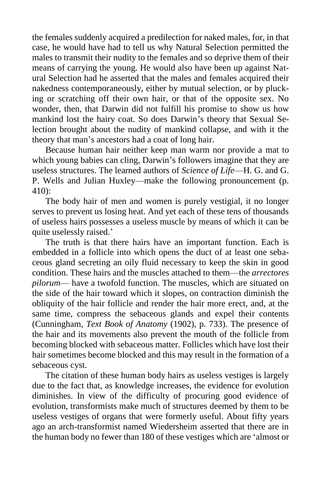the females suddenly acquired a predilection for naked males, for, in that case, he would have had to tell us why Natural Selection permitted the males to transmit their nudity to the females and so deprive them of their means of carrying the young. He would also have been up against Natural Selection had he asserted that the males and females acquired their nakedness contemporaneously, either by mutual selection, or by plucking or scratching off their own hair, or that of the opposite sex. No wonder, then, that Darwin did not fulfill his promise to show us how mankind lost the hairy coat. So does Darwin's theory that Sexual Selection brought about the nudity of mankind collapse, and with it the theory that man's ancestors had a coat of long hair.

Because human hair neither keep man warm nor provide a mat to which young babies can cling, Darwin's followers imagine that they are useless structures. The learned authors of *Science of Life*—H. G. and G. P. Wells and Julian Huxley—make the following pronouncement (p. 410):

The body hair of men and women is purely vestigial, it no longer serves to prevent us losing heat. And yet each of these tens of thousands of useless hairs possesses a useless muscle by means of which it can be quite uselessly raised.'

The truth is that there hairs have an important function. Each is embedded in a follicle into which opens the duct of at least one sebaceous gland secreting an oily fluid necessary to keep the skin in good condition. These hairs and the muscles attached to them—the *arrectores pilorum*— have a twofold function. The muscles, which are situated on the side of the hair toward which it slopes, on contraction diminish the obliquity of the hair follicle and render the hair more erect, and, at the same time, compress the sebaceous glands and expel their contents (Cunningham, *Text Book of Anatomy* (1902), p. 733). The presence of the hair and its movements also prevent the mouth of the follicle from becoming blocked with sebaceous matter. Follicles which have lost their hair sometimes become blocked and this may result in the formation of a sebaceous cyst.

The citation of these human body hairs as useless vestiges is largely due to the fact that, as knowledge increases, the evidence for evolution diminishes. In view of the difficulty of procuring good evidence of evolution, transformists make much of structures deemed by them to be useless vestiges of organs that were formerly useful. About fifty years ago an arch-transformist named Wiedersheim asserted that there are in the human body no fewer than 180 of these vestiges which are 'almost or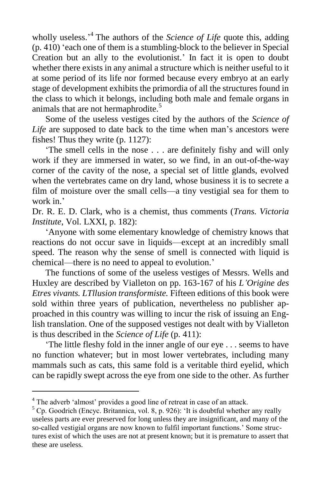wholly useless.<sup>4</sup> The authors of the *Science of Life* quote this, adding (p. 410) 'each one of them is a stumbling-block to the believer in Special Creation but an ally to the evolutionist.' In fact it is open to doubt whether there exists in any animal a structure which is neither useful to it at some period of its life nor formed because every embryo at an early stage of development exhibits the primordia of all the structures found in the class to which it belongs, including both male and female organs in animals that are not hermaphrodite.<sup>5</sup>

Some of the useless vestiges cited by the authors of the *Science of Life* are supposed to date back to the time when man's ancestors were fishes! Thus they write (p. 1127):

'The smell cells in the nose . . . are definitely fishy and will only work if they are immersed in water, so we find, in an out-of-the-way corner of the cavity of the nose, a special set of little glands, evolved when the vertebrates came on dry land, whose business it is to secrete a film of moisture over the small cells—a tiny vestigial sea for them to work in.'

Dr. R. E. D. Clark, who is a chemist, thus comments (*Trans. Victoria Institute*, Vol. LXXI, p. 182):

'Anyone with some elementary knowledge of chemistry knows that reactions do not occur save in liquids—except at an incredibly small speed. The reason why the sense of smell is connected with liquid is chemical—there is no need to appeal to evolution.'

The functions of some of the useless vestiges of Messrs. Wells and Huxley are described by Vialleton on pp. 163-167 of his *L'Origine des Etres vivants. LTllusion transformiste.* Fifteen editions of this book were sold within three years of publication, nevertheless no publisher approached in this country was willing to incur the risk of issuing an English translation. One of the supposed vestiges not dealt with by Vialleton is thus described in the *Science of Life* (p. 411):

'The little fleshy fold in the inner angle of our eye . . . seems to have no function whatever; but in most lower vertebrates, including many mammals such as cats, this same fold is a veritable third eyelid, which can be rapidly swept across the eye from one side to the other. As further

<sup>&</sup>lt;sup>4</sup> The adverb 'almost' provides a good line of retreat in case of an attack.

 $5$  Cp. Goodrich (Encyc. Britannica, vol. 8, p. 926): 'It is doubtful whether any really useless parts are ever preserved for long unless they are insignificant, and many of the so-called vestigial organs are now known to fulfil important functions.' Some structures exist of which the uses are not at present known; but it is premature to assert that these are useless.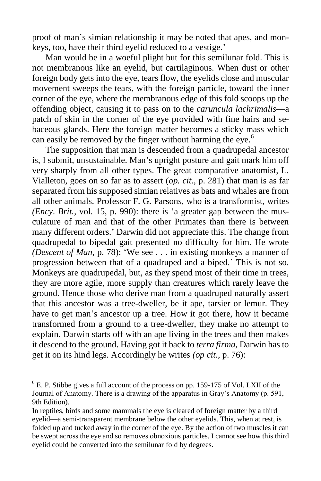proof of man's simian relationship it may be noted that apes, and monkeys, too, have their third eyelid reduced to a vestige.'

Man would be in a woeful plight but for this semilunar fold. This is not membranous like an eyelid, but cartilaginous. When dust or other foreign body gets into the eye, tears flow, the eyelids close and muscular movement sweeps the tears, with the foreign particle, toward the inner corner of the eye, where the membranous edge of this fold scoops up the offending object, causing it to pass on to the *caruncula lachrimalis*—a patch of skin in the corner of the eye provided with fine hairs and sebaceous glands. Here the foreign matter becomes a sticky mass which can easily be removed by the finger without harming the eye.<sup>6</sup>

The supposition that man is descended from a quadrupedal ancestor is, I submit, unsustainable. Man's upright posture and gait mark him off very sharply from all other types. The great comparative anatomist, L. Vialleton, goes on so far as to assert (*op. cit.,* p. 281) that man is as far separated from his supposed simian relatives as bats and whales are from all other animals. Professor F. G. Parsons, who is a transformist, writes *(Ency*. *Brit.,* vol. 15, p. 990): there is 'a greater gap between the musculature of man and that of the other Primates than there is between many different orders.' Darwin did not appreciate this. The change from quadrupedal to bipedal gait presented no difficulty for him. He wrote *(Descent of Man,* p. 78): 'We see . . . in existing monkeys a manner of progression between that of a quadruped and a biped.' This is not so. Monkeys are quadrupedal, but, as they spend most of their time in trees, they are more agile, more supply than creatures which rarely leave the ground. Hence those who derive man from a quadruped naturally assert that this ancestor was a tree-dweller, be it ape, tarsier or lemur. They have to get man's ancestor up a tree. How it got there, how it became transformed from a ground to a tree-dweller, they make no attempt to explain. Darwin starts off with an ape living in the trees and then makes it descend to the ground. Having got it back to *terra firma,* Darwin has to get it on its hind legs. Accordingly he writes *(op cit.,* p. 76):

 $<sup>6</sup>$  E. P. Stibbe gives a full account of the process on pp. 159-175 of Vol. LXII of the</sup> Journal of Anatomy. There is a drawing of the apparatus in Gray's Anatomy (p. 591, 9th Edition).

In reptiles, birds and some mammals the eye is cleared of foreign matter by a third eyelid—a semi-transparent membrane below the other eyelids. This, when at rest, is folded up and tucked away in the corner of the eye. By the action of two muscles it can be swept across the eye and so removes obnoxious particles. I cannot see how this third eyelid could be converted into the semilunar fold by degrees.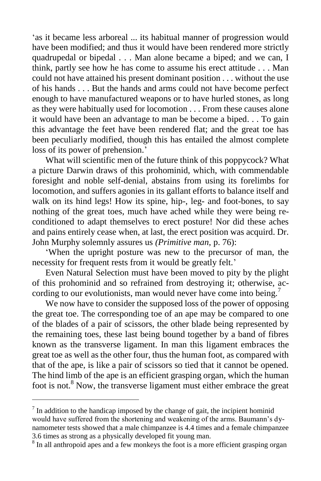'as it became less arboreal ... its habitual manner of progression would have been modified; and thus it would have been rendered more strictly quadrupedal or bipedal . . . Man alone became a biped; and we can, I think, partly see how he has come to assume his erect attitude . . . Man could not have attained his present dominant position . . . without the use of his hands . . . But the hands and arms could not have become perfect enough to have manufactured weapons or to have hurled stones, as long as they were habitually used for locomotion . . . From these causes alone it would have been an advantage to man be become a biped. . . To gain this advantage the feet have been rendered flat; and the great toe has been peculiarly modified, though this has entailed the almost complete loss of its power of prehension.'

What will scientific men of the future think of this poppycock? What a picture Darwin draws of this prohominid, which, with commendable foresight and noble self-denial, abstains from using its forelimbs for locomotion, and suffers agonies in its gallant efforts to balance itself and walk on its hind legs! How its spine, hip-, leg- and foot-bones, to say nothing of the great toes, much have ached while they were being reconditioned to adapt themselves to erect posture! Nor did these aches and pains entirely cease when, at last, the erect position was acquird. Dr. John Murphy solemnly assures us *(Primitive man,* p. 76):

'When the upright posture was new to the precursor of man, the necessity for frequent rests from it would be greatly felt.'

Even Natural Selection must have been moved to pity by the plight of this prohominid and so refrained from destroying it; otherwise, according to our evolutionists, man would never have come into being.<sup>7</sup>

We now have to consider the supposed loss of the power of opposing the great toe. The corresponding toe of an ape may be compared to one of the blades of a pair of scissors, the other blade being represented by the remaining toes, these last being bound together by a band of fibres known as the transverse ligament. In man this ligament embraces the great toe as well as the other four, thus the human foot, as compared with that of the ape, is like a pair of scissors so tied that it cannot be opened. The hind limb of the ape is an efficient grasping organ, which the human foot is not.<sup>8</sup> Now, the transverse ligament must either embrace the great

 $<sup>7</sup>$  In addition to the handicap imposed by the change of gait, the incipient hominid</sup> would have suffered from the shortening and weakening of the arms. Baumann's dynamometer tests showed that a male chimpanzee is 4.4 times and a female chimpanzee 3.6 times as strong as a physically developed fit young man.

<sup>&</sup>lt;sup>8</sup> In all anthropoid apes and a few monkeys the foot is a more efficient grasping organ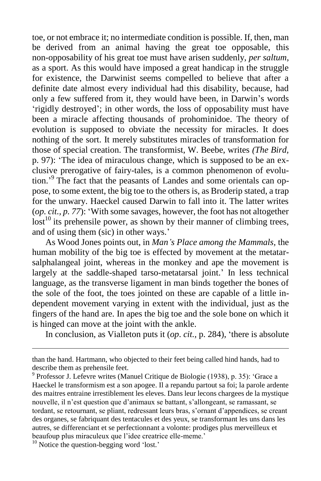toe, or not embrace it; no intermediate condition is possible. If, then, man be derived from an animal having the great toe opposable, this non-opposability of his great toe must have arisen suddenly, *per saltum*, as a sport. As this would have imposed a great handicap in the struggle for existence, the Darwinist seems compelled to believe that after a definite date almost every individual had this disability, because, had only a few suffered from it, they would have been, in Darwin's words 'rigidly destroyed'; in other words, the loss of opposability must have been a miracle affecting thousands of prohominidoe. The theory of evolution is supposed to obviate the necessity for miracles. It does nothing of the sort. It merely substitutes miracles of transformation for those of special creation. The transformist, W. Beebe, writes *(The Bird,*  p. 97): 'The idea of miraculous change, which is supposed to be an exclusive prerogative of fairy-tales, is a common phenomenon of evolution.<sup>'9</sup> The fact that the peasants of Landes and some orientals can oppose, to some extent, the big toe to the others is, as Broderip stated, a trap for the unwary. Haeckel caused Darwin to fall into it. The latter writes (*op. cit., p. 77*): 'With some savages, however, the foot has not altogether  $\mathrm{lost}^{10}$  its prehensile power, as shown by their manner of climbing trees, and of using them (sic) in other ways.'

As Wood Jones points out, in *Man's Place among the Mammals,* the human mobility of the big toe is effected by movement at the metatarsalphalangeal joint, whereas in the monkey and ape the movement is largely at the saddle-shaped tarso-metatarsal joint.' In less technical language, as the transverse ligament in man binds together the bones of the sole of the foot, the toes jointed on these are capable of a little independent movement varying in extent with the individual, just as the fingers of the hand are. In apes the big toe and the sole bone on which it is hinged can move at the joint with the ankle.

In conclusion, as Vialleton puts it (*op*. *cit.,* p. 284), 'there is absolute

than the hand. Hartmann, who objected to their feet being called hind hands, had to describe them as prehensile feet.

<sup>9</sup> Professor J. Lefevre writes (Manuel Critique de Biologie (1938), p. 35): 'Grace a Haeckel le transformism est a son apogee. Il a repandu partout sa foi; la parole ardente des maitres entraine irrestiblement les eleves. Dans leur lecons chargees de la mystique nouvelle, il n'est question que d'animaux se battant, s'allongeant, se ramassant, se tordant, se retournant, se pliant, redressant leurs bras, s'ornant d'appendices, se creant des organes, se fabriquant des tentacules et des yeux, se transformant les uns dans les autres, se differenciant et se perfectionnant a volonte: prodiges plus merveilleux et beaufoup plus miraculeux que l'idee creatrice elle-meme.'

<sup>&</sup>lt;sup>10</sup> Notice the question-begging word 'lost.'